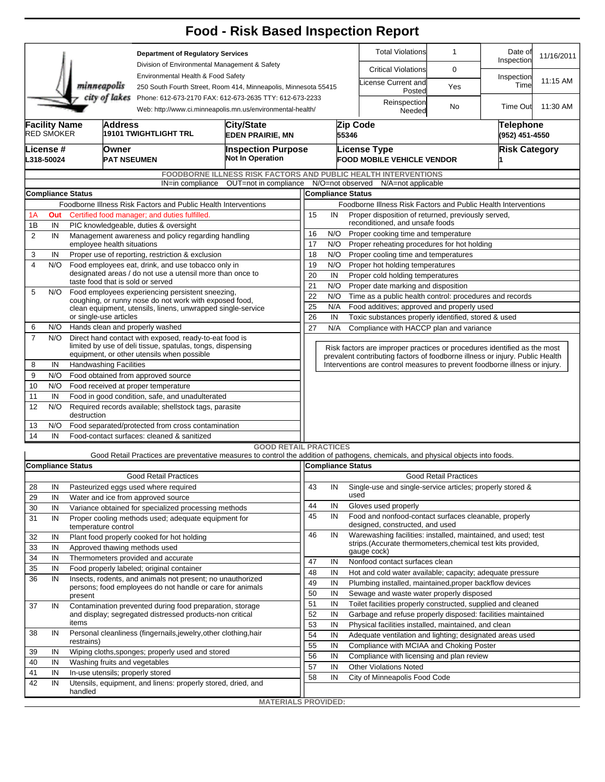|                                                                                                                                        |                                                                                            |                                                                                                                                                      |                                                                                                                       |                                                                                                       | <b>Food - Risk Based Inspection Report</b>                                                                                        |                                                                                                                                  |                                                                   |                                                                                                                                 |                                                                              |                              |          |                             |                      |  |  |  |
|----------------------------------------------------------------------------------------------------------------------------------------|--------------------------------------------------------------------------------------------|------------------------------------------------------------------------------------------------------------------------------------------------------|-----------------------------------------------------------------------------------------------------------------------|-------------------------------------------------------------------------------------------------------|-----------------------------------------------------------------------------------------------------------------------------------|----------------------------------------------------------------------------------------------------------------------------------|-------------------------------------------------------------------|---------------------------------------------------------------------------------------------------------------------------------|------------------------------------------------------------------------------|------------------------------|----------|-----------------------------|----------------------|--|--|--|
|                                                                                                                                        |                                                                                            |                                                                                                                                                      |                                                                                                                       | <b>Department of Regulatory Services</b>                                                              |                                                                                                                                   |                                                                                                                                  |                                                                   |                                                                                                                                 | <b>Total Violations</b>                                                      | $\mathbf{1}$                 |          | Date of<br>Inspection       | 11/16/2011           |  |  |  |
|                                                                                                                                        |                                                                                            |                                                                                                                                                      |                                                                                                                       | Division of Environmental Management & Safety                                                         |                                                                                                                                   |                                                                                                                                  |                                                                   |                                                                                                                                 | <b>Critical Violations</b>                                                   | 0                            |          |                             |                      |  |  |  |
|                                                                                                                                        |                                                                                            |                                                                                                                                                      | minneapolis                                                                                                           | Environmental Health & Food Safety<br>250 South Fourth Street, Room 414, Minneapolis, Minnesota 55415 |                                                                                                                                   |                                                                                                                                  |                                                                   |                                                                                                                                 | icense Current and<br>Posted                                                 | Yes                          |          | Inspection<br>Time          | 11:15 AM             |  |  |  |
| city of lakes<br>Phone: 612-673-2170 FAX: 612-673-2635 TTY: 612-673-2233<br>Web: http://www.ci.minneapolis.mn.us/environmental-health/ |                                                                                            |                                                                                                                                                      |                                                                                                                       |                                                                                                       |                                                                                                                                   |                                                                                                                                  |                                                                   | Reinspection<br>Needed                                                                                                          | No                                                                           |                              | Time Out | 11:30 AM                    |                      |  |  |  |
|                                                                                                                                        | <b>Facility Name</b><br><b>RED SMOKER</b>                                                  | Address                                                                                                                                              |                                                                                                                       | 19101 TWIGHTLIGHT TRL                                                                                 | <b>City/State</b><br><b>EDEN PRAIRIE, MN</b>                                                                                      | <b>Inspection Purpose</b><br><b>Not In Operation</b>                                                                             |                                                                   | 55346                                                                                                                           | Zip Code                                                                     |                              |          | Telephone<br>(952) 451-4550 |                      |  |  |  |
|                                                                                                                                        | License #<br>L318-50024                                                                    |                                                                                                                                                      | Owner<br>PAT NSEUMEN                                                                                                  |                                                                                                       |                                                                                                                                   |                                                                                                                                  |                                                                   | <b>License Type</b><br><b>FOOD MOBILE VEHICLE VENDOR</b>                                                                        |                                                                              |                              |          |                             | <b>Risk Category</b> |  |  |  |
|                                                                                                                                        |                                                                                            |                                                                                                                                                      |                                                                                                                       |                                                                                                       | <b>FOODBORNE ILLNESS RISK FACTORS AND PUBLIC HEALTH INTERVENTIONS</b>                                                             |                                                                                                                                  |                                                                   |                                                                                                                                 |                                                                              |                              |          |                             |                      |  |  |  |
|                                                                                                                                        |                                                                                            |                                                                                                                                                      |                                                                                                                       | IN=in compliance                                                                                      | OUT=not in compliance                                                                                                             |                                                                                                                                  |                                                                   |                                                                                                                                 | N/O=not observed N/A=not applicable                                          |                              |          |                             |                      |  |  |  |
|                                                                                                                                        | <b>Compliance Status</b><br>Foodborne Illness Risk Factors and Public Health Interventions |                                                                                                                                                      |                                                                                                                       |                                                                                                       |                                                                                                                                   |                                                                                                                                  |                                                                   |                                                                                                                                 | <b>Compliance Status</b>                                                     |                              |          |                             |                      |  |  |  |
| 1Α                                                                                                                                     | Out                                                                                        |                                                                                                                                                      |                                                                                                                       | Certified food manager; and duties fulfilled.                                                         |                                                                                                                                   | Foodborne Illness Risk Factors and Public Health Interventions<br>15<br>Proper disposition of returned, previously served,<br>IN |                                                                   |                                                                                                                                 |                                                                              |                              |          |                             |                      |  |  |  |
| 1B                                                                                                                                     | IN                                                                                         |                                                                                                                                                      |                                                                                                                       |                                                                                                       |                                                                                                                                   | reconditioned, and unsafe foods                                                                                                  |                                                                   |                                                                                                                                 |                                                                              |                              |          |                             |                      |  |  |  |
| 2                                                                                                                                      | IN                                                                                         | PIC knowledgeable, duties & oversight<br>Management awareness and policy regarding handling                                                          |                                                                                                                       |                                                                                                       |                                                                                                                                   |                                                                                                                                  |                                                                   | 16<br>N/O<br>Proper cooking time and temperature                                                                                |                                                                              |                              |          |                             |                      |  |  |  |
|                                                                                                                                        |                                                                                            | employee health situations                                                                                                                           |                                                                                                                       |                                                                                                       |                                                                                                                                   |                                                                                                                                  | 17<br>N/O<br>Proper reheating procedures for hot holding          |                                                                                                                                 |                                                                              |                              |          |                             |                      |  |  |  |
| 3                                                                                                                                      | IN                                                                                         | Proper use of reporting, restriction & exclusion                                                                                                     |                                                                                                                       |                                                                                                       |                                                                                                                                   |                                                                                                                                  |                                                                   | 18<br>N/O<br>Proper cooling time and temperatures                                                                               |                                                                              |                              |          |                             |                      |  |  |  |
| 4                                                                                                                                      | N/O                                                                                        | Food employees eat, drink, and use tobacco only in<br>designated areas / do not use a utensil more than once to<br>taste food that is sold or served |                                                                                                                       |                                                                                                       |                                                                                                                                   |                                                                                                                                  | 19<br>N/O<br>Proper hot holding temperatures                      |                                                                                                                                 |                                                                              |                              |          |                             |                      |  |  |  |
|                                                                                                                                        |                                                                                            |                                                                                                                                                      |                                                                                                                       |                                                                                                       |                                                                                                                                   |                                                                                                                                  | 20<br>IN<br>Proper cold holding temperatures                      |                                                                                                                                 |                                                                              |                              |          |                             |                      |  |  |  |
| 5                                                                                                                                      | N/O                                                                                        |                                                                                                                                                      | Food employees experiencing persistent sneezing,                                                                      |                                                                                                       |                                                                                                                                   |                                                                                                                                  |                                                                   | 21<br>N/O<br>Proper date marking and disposition                                                                                |                                                                              |                              |          |                             |                      |  |  |  |
|                                                                                                                                        |                                                                                            |                                                                                                                                                      | coughing, or runny nose do not work with exposed food,<br>clean equipment, utensils, linens, unwrapped single-service |                                                                                                       |                                                                                                                                   |                                                                                                                                  |                                                                   | 22<br>N/O<br>Time as a public health control: procedures and records<br>25<br>N/A<br>Food additives; approved and properly used |                                                                              |                              |          |                             |                      |  |  |  |
|                                                                                                                                        |                                                                                            |                                                                                                                                                      | or single-use articles                                                                                                |                                                                                                       |                                                                                                                                   | 26                                                                                                                               | IN                                                                |                                                                                                                                 | Toxic substances properly identified, stored & used                          |                              |          |                             |                      |  |  |  |
| 6                                                                                                                                      | N/O                                                                                        |                                                                                                                                                      | Hands clean and properly washed                                                                                       |                                                                                                       |                                                                                                                                   |                                                                                                                                  |                                                                   | 27<br>N/A<br>Compliance with HACCP plan and variance                                                                            |                                                                              |                              |          |                             |                      |  |  |  |
| $\overline{7}$                                                                                                                         | N/O                                                                                        |                                                                                                                                                      | Direct hand contact with exposed, ready-to-eat food is<br>limited by use of deli tissue, spatulas, tongs, dispensing  |                                                                                                       | Risk factors are improper practices or procedures identified as the most                                                          |                                                                                                                                  |                                                                   |                                                                                                                                 |                                                                              |                              |          |                             |                      |  |  |  |
|                                                                                                                                        |                                                                                            | equipment, or other utensils when possible                                                                                                           |                                                                                                                       |                                                                                                       |                                                                                                                                   |                                                                                                                                  |                                                                   |                                                                                                                                 | prevalent contributing factors of foodborne illness or injury. Public Health |                              |          |                             |                      |  |  |  |
| 8                                                                                                                                      | IN<br>N/O                                                                                  | <b>Handwashing Facilities</b>                                                                                                                        |                                                                                                                       |                                                                                                       |                                                                                                                                   |                                                                                                                                  |                                                                   |                                                                                                                                 | Interventions are control measures to prevent foodborne illness or injury.   |                              |          |                             |                      |  |  |  |
| 9<br>10                                                                                                                                | N/O                                                                                        | Food obtained from approved source<br>Food received at proper temperature                                                                            |                                                                                                                       |                                                                                                       |                                                                                                                                   |                                                                                                                                  |                                                                   |                                                                                                                                 |                                                                              |                              |          |                             |                      |  |  |  |
| 11                                                                                                                                     | IN                                                                                         | Food in good condition, safe, and unadulterated                                                                                                      |                                                                                                                       |                                                                                                       |                                                                                                                                   |                                                                                                                                  |                                                                   |                                                                                                                                 |                                                                              |                              |          |                             |                      |  |  |  |
| 12                                                                                                                                     | N/O                                                                                        |                                                                                                                                                      | Required records available; shellstock tags, parasite<br>destruction                                                  |                                                                                                       |                                                                                                                                   |                                                                                                                                  |                                                                   |                                                                                                                                 |                                                                              |                              |          |                             |                      |  |  |  |
| 13                                                                                                                                     | N/O                                                                                        | Food separated/protected from cross contamination                                                                                                    |                                                                                                                       |                                                                                                       |                                                                                                                                   |                                                                                                                                  |                                                                   |                                                                                                                                 |                                                                              |                              |          |                             |                      |  |  |  |
| 14                                                                                                                                     | IN                                                                                         |                                                                                                                                                      |                                                                                                                       | Food-contact surfaces: cleaned & sanitized                                                            |                                                                                                                                   |                                                                                                                                  |                                                                   |                                                                                                                                 |                                                                              |                              |          |                             |                      |  |  |  |
|                                                                                                                                        |                                                                                            |                                                                                                                                                      |                                                                                                                       |                                                                                                       | <b>GOOD RETAIL PRACTICES</b>                                                                                                      |                                                                                                                                  |                                                                   |                                                                                                                                 |                                                                              |                              |          |                             |                      |  |  |  |
|                                                                                                                                        |                                                                                            |                                                                                                                                                      |                                                                                                                       |                                                                                                       | Good Retail Practices are preventative measures to control the addition of pathogens, chemicals, and physical objects into foods. |                                                                                                                                  |                                                                   |                                                                                                                                 |                                                                              |                              |          |                             |                      |  |  |  |
|                                                                                                                                        |                                                                                            | <b>Compliance Status</b>                                                                                                                             |                                                                                                                       |                                                                                                       |                                                                                                                                   |                                                                                                                                  |                                                                   |                                                                                                                                 | Compliance Status                                                            | <b>Good Retail Practices</b> |          |                             |                      |  |  |  |
| 28                                                                                                                                     | IN                                                                                         |                                                                                                                                                      |                                                                                                                       | <b>Good Retail Practices</b><br>Pasteurized eggs used where required                                  |                                                                                                                                   | 43                                                                                                                               | IN                                                                |                                                                                                                                 | Single-use and single-service articles; properly stored &                    |                              |          |                             |                      |  |  |  |
| 29                                                                                                                                     | IN                                                                                         |                                                                                                                                                      |                                                                                                                       | Water and ice from approved source                                                                    |                                                                                                                                   |                                                                                                                                  |                                                                   |                                                                                                                                 | used                                                                         |                              |          |                             |                      |  |  |  |
| 30                                                                                                                                     | IN                                                                                         |                                                                                                                                                      |                                                                                                                       | Variance obtained for specialized processing methods                                                  |                                                                                                                                   | 44                                                                                                                               | IN                                                                |                                                                                                                                 | Gloves used properly                                                         |                              |          |                             |                      |  |  |  |
| 31                                                                                                                                     | IN                                                                                         |                                                                                                                                                      | temperature control                                                                                                   | Proper cooling methods used; adequate equipment for                                                   | 45                                                                                                                                | IN                                                                                                                               |                                                                   | Food and nonfood-contact surfaces cleanable, properly<br>designed, constructed, and used                                        |                                                                              |                              |          |                             |                      |  |  |  |
| 32                                                                                                                                     | IN                                                                                         |                                                                                                                                                      |                                                                                                                       | Plant food properly cooked for hot holding                                                            |                                                                                                                                   | 46                                                                                                                               | IN                                                                |                                                                                                                                 | Warewashing facilities: installed, maintained, and used; test                |                              |          |                             |                      |  |  |  |
| 33                                                                                                                                     | IN                                                                                         |                                                                                                                                                      |                                                                                                                       | Approved thawing methods used                                                                         |                                                                                                                                   |                                                                                                                                  |                                                                   |                                                                                                                                 | strips. (Accurate thermometers, chemical test kits provided,<br>gauge cock)  |                              |          |                             |                      |  |  |  |
| 34                                                                                                                                     | IN                                                                                         |                                                                                                                                                      |                                                                                                                       | Thermometers provided and accurate                                                                    |                                                                                                                                   | 47                                                                                                                               | IN                                                                |                                                                                                                                 | Nonfood contact surfaces clean                                               |                              |          |                             |                      |  |  |  |
| 35                                                                                                                                     | IN                                                                                         |                                                                                                                                                      |                                                                                                                       | Food properly labeled; original container                                                             |                                                                                                                                   | 48                                                                                                                               | IN                                                                | Hot and cold water available; capacity; adequate pressure                                                                       |                                                                              |                              |          |                             |                      |  |  |  |
| 36                                                                                                                                     | IN                                                                                         |                                                                                                                                                      |                                                                                                                       | Insects, rodents, and animals not present; no unauthorized                                            |                                                                                                                                   | 49                                                                                                                               | IN                                                                |                                                                                                                                 | Plumbing installed, maintained, proper backflow devices                      |                              |          |                             |                      |  |  |  |
|                                                                                                                                        |                                                                                            | present                                                                                                                                              |                                                                                                                       | persons; food employees do not handle or care for animals                                             |                                                                                                                                   | 50                                                                                                                               | IN                                                                |                                                                                                                                 | Sewage and waste water properly disposed                                     |                              |          |                             |                      |  |  |  |
| 37                                                                                                                                     | IN                                                                                         |                                                                                                                                                      |                                                                                                                       | Contamination prevented during food preparation, storage                                              |                                                                                                                                   | 51                                                                                                                               | IN                                                                |                                                                                                                                 | Toilet facilities properly constructed, supplied and cleaned                 |                              |          |                             |                      |  |  |  |
|                                                                                                                                        |                                                                                            |                                                                                                                                                      |                                                                                                                       | and display; segregated distressed products-non critical                                              |                                                                                                                                   | 52                                                                                                                               | IN<br>Garbage and refuse properly disposed: facilities maintained |                                                                                                                                 |                                                                              |                              |          |                             |                      |  |  |  |
|                                                                                                                                        |                                                                                            | items                                                                                                                                                |                                                                                                                       |                                                                                                       |                                                                                                                                   | 53                                                                                                                               | IN                                                                |                                                                                                                                 | Physical facilities installed, maintained, and clean                         |                              |          |                             |                      |  |  |  |
| 38                                                                                                                                     | IN                                                                                         | restrains)                                                                                                                                           |                                                                                                                       | Personal cleanliness (fingernails,jewelry,other clothing,hair                                         |                                                                                                                                   | 54                                                                                                                               | IN                                                                |                                                                                                                                 | Adequate ventilation and lighting; designated areas used                     |                              |          |                             |                      |  |  |  |
| 39                                                                                                                                     | IN                                                                                         |                                                                                                                                                      |                                                                                                                       | Wiping cloths, sponges; properly used and stored                                                      |                                                                                                                                   |                                                                                                                                  | 55<br>IN<br>Compliance with MCIAA and Choking Poster              |                                                                                                                                 |                                                                              |                              |          |                             |                      |  |  |  |
| 40                                                                                                                                     | IN                                                                                         |                                                                                                                                                      |                                                                                                                       | Washing fruits and vegetables                                                                         |                                                                                                                                   | 56                                                                                                                               | IN                                                                |                                                                                                                                 | Compliance with licensing and plan review                                    |                              |          |                             |                      |  |  |  |
| 41                                                                                                                                     | IN                                                                                         |                                                                                                                                                      |                                                                                                                       | In-use utensils; properly stored                                                                      |                                                                                                                                   | 57                                                                                                                               | IN                                                                |                                                                                                                                 | <b>Other Violations Noted</b>                                                |                              |          |                             |                      |  |  |  |
| 42                                                                                                                                     | IN                                                                                         |                                                                                                                                                      |                                                                                                                       | Utensils, equipment, and linens: properly stored, dried, and                                          |                                                                                                                                   | 58                                                                                                                               | IN                                                                |                                                                                                                                 | City of Minneapolis Food Code                                                |                              |          |                             |                      |  |  |  |
|                                                                                                                                        |                                                                                            | handled                                                                                                                                              |                                                                                                                       |                                                                                                       |                                                                                                                                   |                                                                                                                                  |                                                                   |                                                                                                                                 |                                                                              |                              |          |                             |                      |  |  |  |
|                                                                                                                                        |                                                                                            |                                                                                                                                                      |                                                                                                                       |                                                                                                       | <b>MATERIALS PROVIDED:</b>                                                                                                        |                                                                                                                                  |                                                                   |                                                                                                                                 |                                                                              |                              |          |                             |                      |  |  |  |